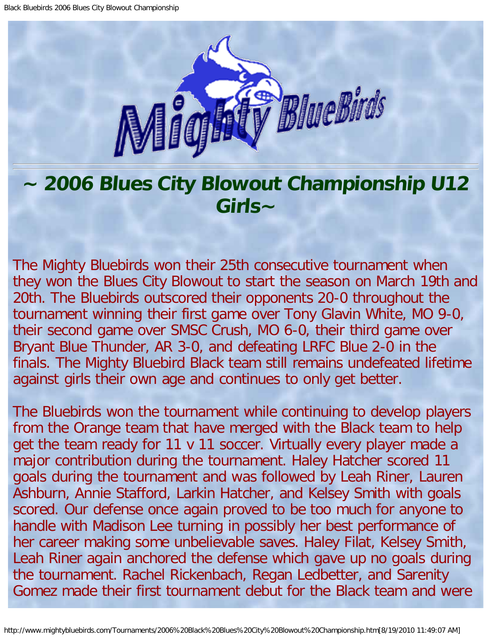

## **~ 2006 Blues City Blowout Championship U12 Girls~**

The Mighty Bluebirds won their 25th consecutive tournament when they won the Blues City Blowout to start the season on March 19th and 20th. The Bluebirds outscored their opponents 20-0 throughout the tournament winning their first game over Tony Glavin White, MO 9-0, their second game over SMSC Crush, MO 6-0, their third game over Bryant Blue Thunder, AR 3-0, and defeating LRFC Blue 2-0 in the finals. The Mighty Bluebird Black team still remains undefeated lifetime against girls their own age and continues to only get better.

The Bluebirds won the tournament while continuing to develop players from the Orange team that have merged with the Black team to help get the team ready for 11 v 11 soccer. Virtually every player made a major contribution during the tournament. Haley Hatcher scored 11 goals during the tournament and was followed by Leah Riner, Lauren Ashburn, Annie Stafford, Larkin Hatcher, and Kelsey Smith with goals scored. Our defense once again proved to be too much for anyone to handle with Madison Lee turning in possibly her best performance of her career making some unbelievable saves. Haley Filat, Kelsey Smith, Leah Riner again anchored the defense which gave up no goals during the tournament. Rachel Rickenbach, Regan Ledbetter, and Sarenity Gomez made their first tournament debut for the Black team and were